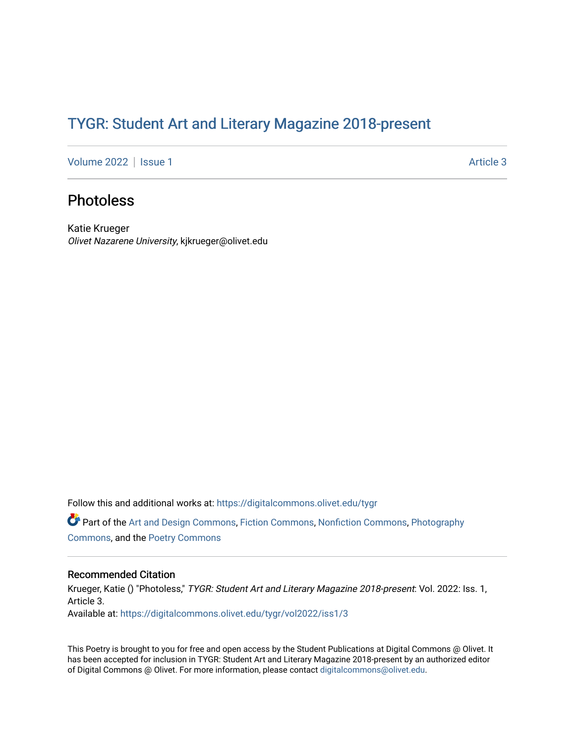## TYGR: Student Art and Literary Magazine 2018-present

[Volume 2022](https://digitalcommons.olivet.edu/tygr/vol2022) | [Issue 1](https://digitalcommons.olivet.edu/tygr/vol2022/iss1) Article 3

## **Photoless**

Katie Krueger Olivet Nazarene University, kjkrueger@olivet.edu

Follow this and additional works at: [https://digitalcommons.olivet.edu/tygr](https://digitalcommons.olivet.edu/tygr?utm_source=digitalcommons.olivet.edu%2Ftygr%2Fvol2022%2Fiss1%2F3&utm_medium=PDF&utm_campaign=PDFCoverPages)

Part of the [Art and Design Commons](http://network.bepress.com/hgg/discipline/1049?utm_source=digitalcommons.olivet.edu%2Ftygr%2Fvol2022%2Fiss1%2F3&utm_medium=PDF&utm_campaign=PDFCoverPages), [Fiction Commons](http://network.bepress.com/hgg/discipline/1151?utm_source=digitalcommons.olivet.edu%2Ftygr%2Fvol2022%2Fiss1%2F3&utm_medium=PDF&utm_campaign=PDFCoverPages), [Nonfiction Commons,](http://network.bepress.com/hgg/discipline/1152?utm_source=digitalcommons.olivet.edu%2Ftygr%2Fvol2022%2Fiss1%2F3&utm_medium=PDF&utm_campaign=PDFCoverPages) [Photography](http://network.bepress.com/hgg/discipline/1142?utm_source=digitalcommons.olivet.edu%2Ftygr%2Fvol2022%2Fiss1%2F3&utm_medium=PDF&utm_campaign=PDFCoverPages) [Commons](http://network.bepress.com/hgg/discipline/1142?utm_source=digitalcommons.olivet.edu%2Ftygr%2Fvol2022%2Fiss1%2F3&utm_medium=PDF&utm_campaign=PDFCoverPages), and the [Poetry Commons](http://network.bepress.com/hgg/discipline/1153?utm_source=digitalcommons.olivet.edu%2Ftygr%2Fvol2022%2Fiss1%2F3&utm_medium=PDF&utm_campaign=PDFCoverPages)

## Recommended Citation

Krueger, Katie () "Photoless," TYGR: Student Art and Literary Magazine 2018-present: Vol. 2022: Iss. 1, Article 3. Available at: [https://digitalcommons.olivet.edu/tygr/vol2022/iss1/3](https://digitalcommons.olivet.edu/tygr/vol2022/iss1/3?utm_source=digitalcommons.olivet.edu%2Ftygr%2Fvol2022%2Fiss1%2F3&utm_medium=PDF&utm_campaign=PDFCoverPages) 

This Poetry is brought to you for free and open access by the Student Publications at Digital Commons @ Olivet. It has been accepted for inclusion in TYGR: Student Art and Literary Magazine 2018-present by an authorized editor of Digital Commons @ Olivet. For more information, please contact [digitalcommons@olivet.edu.](mailto:digitalcommons@olivet.edu)